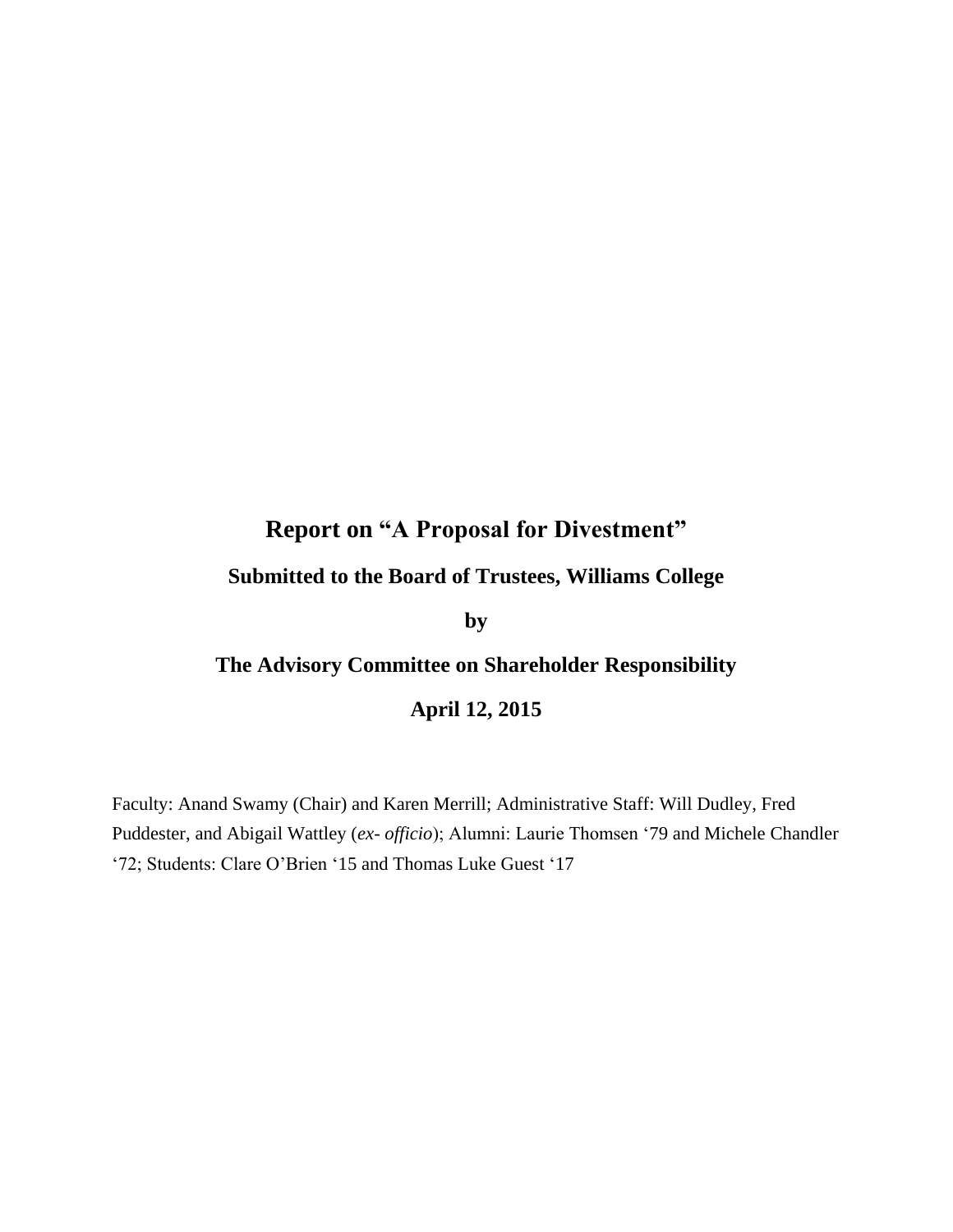# **Report on "A Proposal for Divestment"**

### **Submitted to the Board of Trustees, Williams College**

**by**

## **The Advisory Committee on Shareholder Responsibility**

### **April 12, 2015**

Faculty: Anand Swamy (Chair) and Karen Merrill; Administrative Staff: Will Dudley, Fred Puddester, and Abigail Wattley (*ex- officio*); Alumni: Laurie Thomsen '79 and Michele Chandler '72; Students: Clare O'Brien '15 and Thomas Luke Guest '17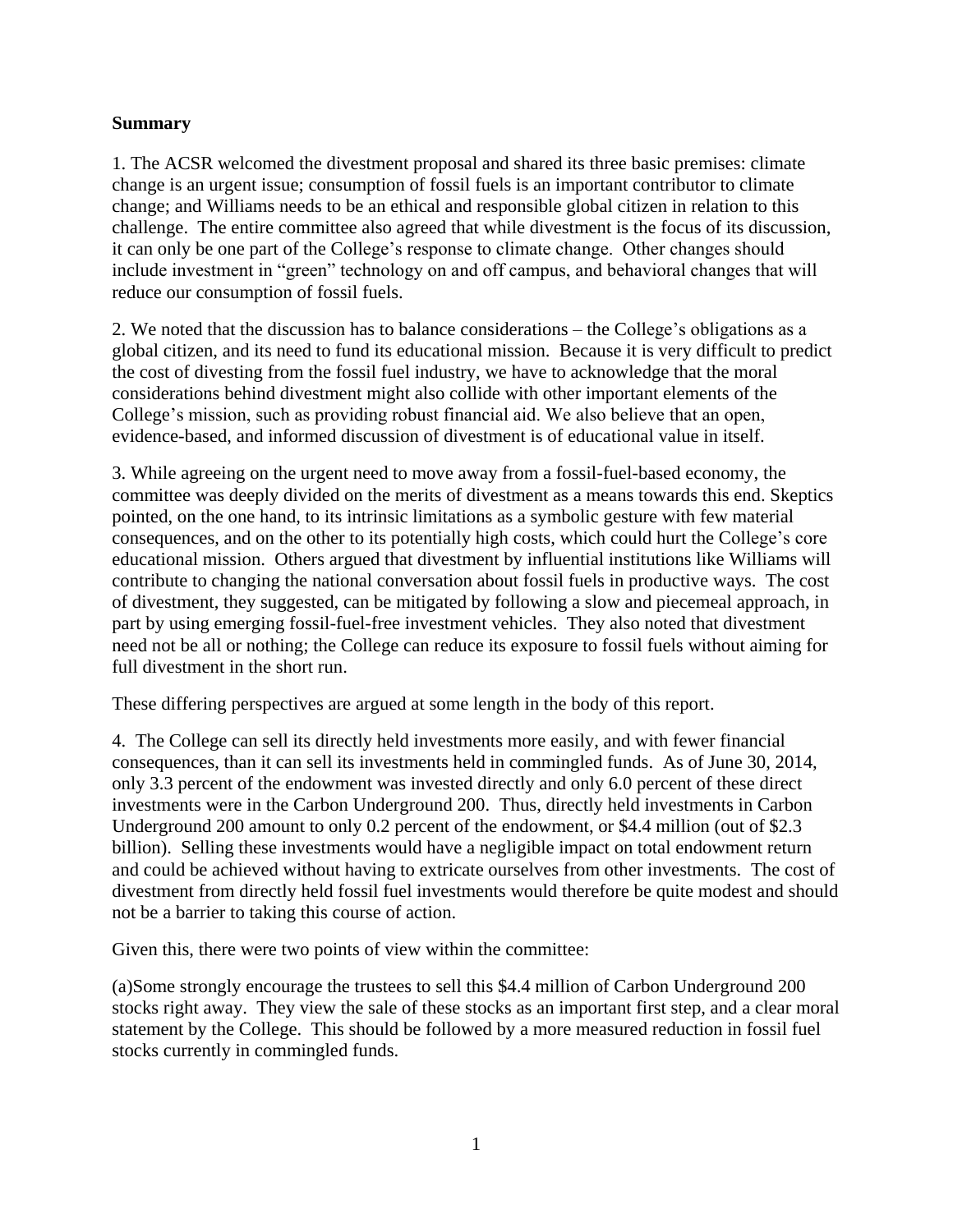#### **Summary**

1. The ACSR welcomed the divestment proposal and shared its three basic premises: climate change is an urgent issue; consumption of fossil fuels is an important contributor to climate change; and Williams needs to be an ethical and responsible global citizen in relation to this challenge. The entire committee also agreed that while divestment is the focus of its discussion, it can only be one part of the College's response to climate change. Other changes should include investment in "green" technology on and off campus, and behavioral changes that will reduce our consumption of fossil fuels.

2. We noted that the discussion has to balance considerations – the College's obligations as a global citizen, and its need to fund its educational mission. Because it is very difficult to predict the cost of divesting from the fossil fuel industry, we have to acknowledge that the moral considerations behind divestment might also collide with other important elements of the College's mission, such as providing robust financial aid. We also believe that an open, evidence-based, and informed discussion of divestment is of educational value in itself.

3. While agreeing on the urgent need to move away from a fossil-fuel-based economy, the committee was deeply divided on the merits of divestment as a means towards this end. Skeptics pointed, on the one hand, to its intrinsic limitations as a symbolic gesture with few material consequences, and on the other to its potentially high costs, which could hurt the College's core educational mission. Others argued that divestment by influential institutions like Williams will contribute to changing the national conversation about fossil fuels in productive ways. The cost of divestment, they suggested, can be mitigated by following a slow and piecemeal approach, in part by using emerging fossil-fuel-free investment vehicles. They also noted that divestment need not be all or nothing; the College can reduce its exposure to fossil fuels without aiming for full divestment in the short run.

These differing perspectives are argued at some length in the body of this report.

4. The College can sell its directly held investments more easily, and with fewer financial consequences, than it can sell its investments held in commingled funds. As of June 30, 2014, only 3.3 percent of the endowment was invested directly and only 6.0 percent of these direct investments were in the Carbon Underground 200. Thus, directly held investments in Carbon Underground 200 amount to only 0.2 percent of the endowment, or \$4.4 million (out of \$2.3 billion). Selling these investments would have a negligible impact on total endowment return and could be achieved without having to extricate ourselves from other investments. The cost of divestment from directly held fossil fuel investments would therefore be quite modest and should not be a barrier to taking this course of action.

Given this, there were two points of view within the committee:

(a)Some strongly encourage the trustees to sell this \$4.4 million of Carbon Underground 200 stocks right away. They view the sale of these stocks as an important first step, and a clear moral statement by the College. This should be followed by a more measured reduction in fossil fuel stocks currently in commingled funds.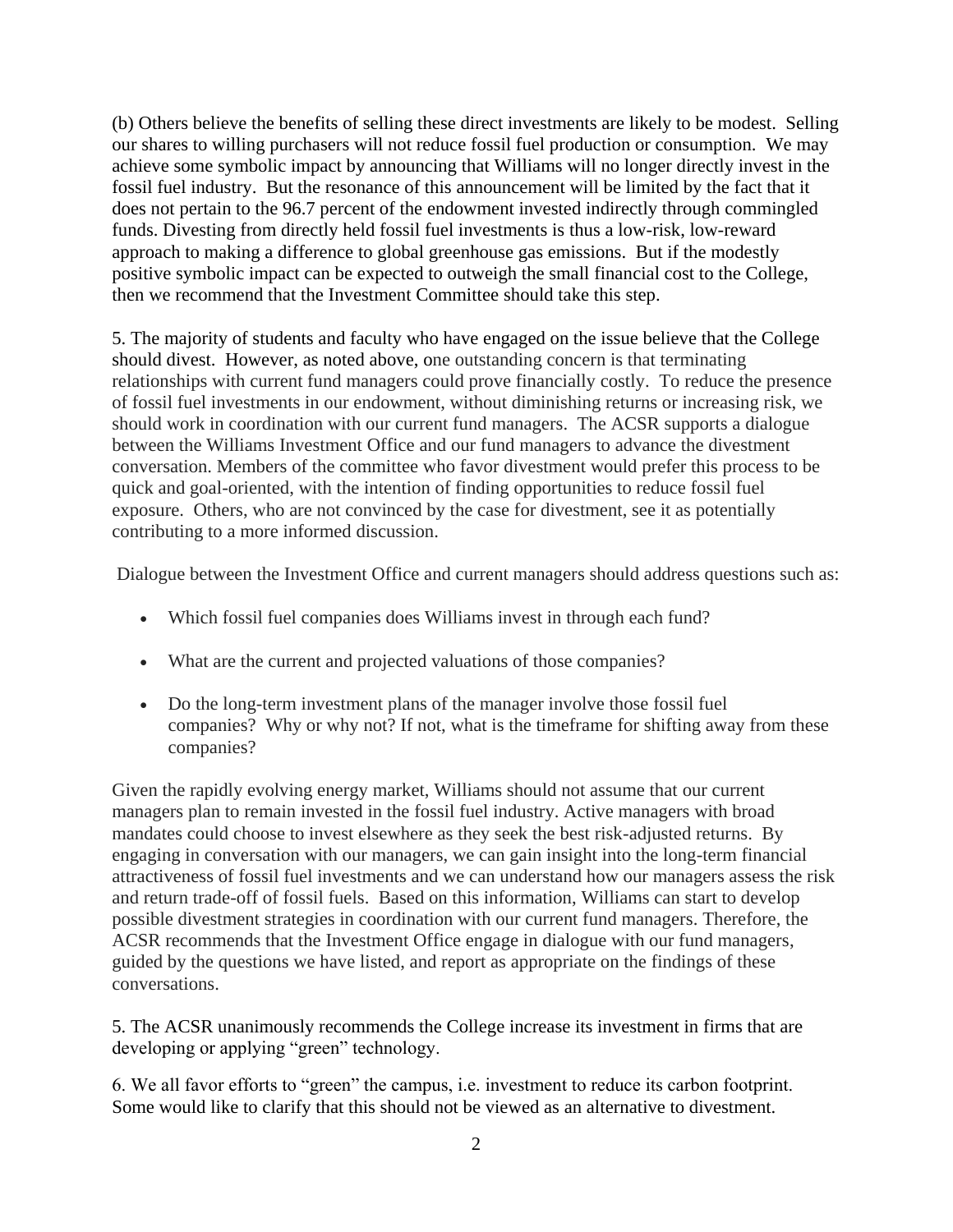(b) Others believe the benefits of selling these direct investments are likely to be modest. Selling our shares to willing purchasers will not reduce fossil fuel production or consumption. We may achieve some symbolic impact by announcing that Williams will no longer directly invest in the fossil fuel industry. But the resonance of this announcement will be limited by the fact that it does not pertain to the 96.7 percent of the endowment invested indirectly through commingled funds. Divesting from directly held fossil fuel investments is thus a low-risk, low-reward approach to making a difference to global greenhouse gas emissions. But if the modestly positive symbolic impact can be expected to outweigh the small financial cost to the College, then we recommend that the Investment Committee should take this step.

5. The majority of students and faculty who have engaged on the issue believe that the College should divest. However, as noted above, one outstanding concern is that terminating relationships with current fund managers could prove financially costly. To reduce the presence of fossil fuel investments in our endowment, without diminishing returns or increasing risk, we should work in coordination with our current fund managers. The ACSR supports a dialogue between the Williams Investment Office and our fund managers to advance the divestment conversation. Members of the committee who favor divestment would prefer this process to be quick and goal-oriented, with the intention of finding opportunities to reduce fossil fuel exposure. Others, who are not convinced by the case for divestment, see it as potentially contributing to a more informed discussion.

Dialogue between the Investment Office and current managers should address questions such as:

- Which fossil fuel companies does Williams invest in through each fund?
- What are the current and projected valuations of those companies?
- Do the long-term investment plans of the manager involve those fossil fuel companies? Why or why not? If not, what is the timeframe for shifting away from these companies?

Given the rapidly evolving energy market, Williams should not assume that our current managers plan to remain invested in the fossil fuel industry. Active managers with broad mandates could choose to invest elsewhere as they seek the best risk-adjusted returns. By engaging in conversation with our managers, we can gain insight into the long-term financial attractiveness of fossil fuel investments and we can understand how our managers assess the risk and return trade-off of fossil fuels. Based on this information, Williams can start to develop possible divestment strategies in coordination with our current fund managers. Therefore, the ACSR recommends that the Investment Office engage in dialogue with our fund managers, guided by the questions we have listed, and report as appropriate on the findings of these conversations.

5. The ACSR unanimously recommends the College increase its investment in firms that are developing or applying "green" technology.

6. We all favor efforts to "green" the campus, i.e. investment to reduce its carbon footprint. Some would like to clarify that this should not be viewed as an alternative to divestment.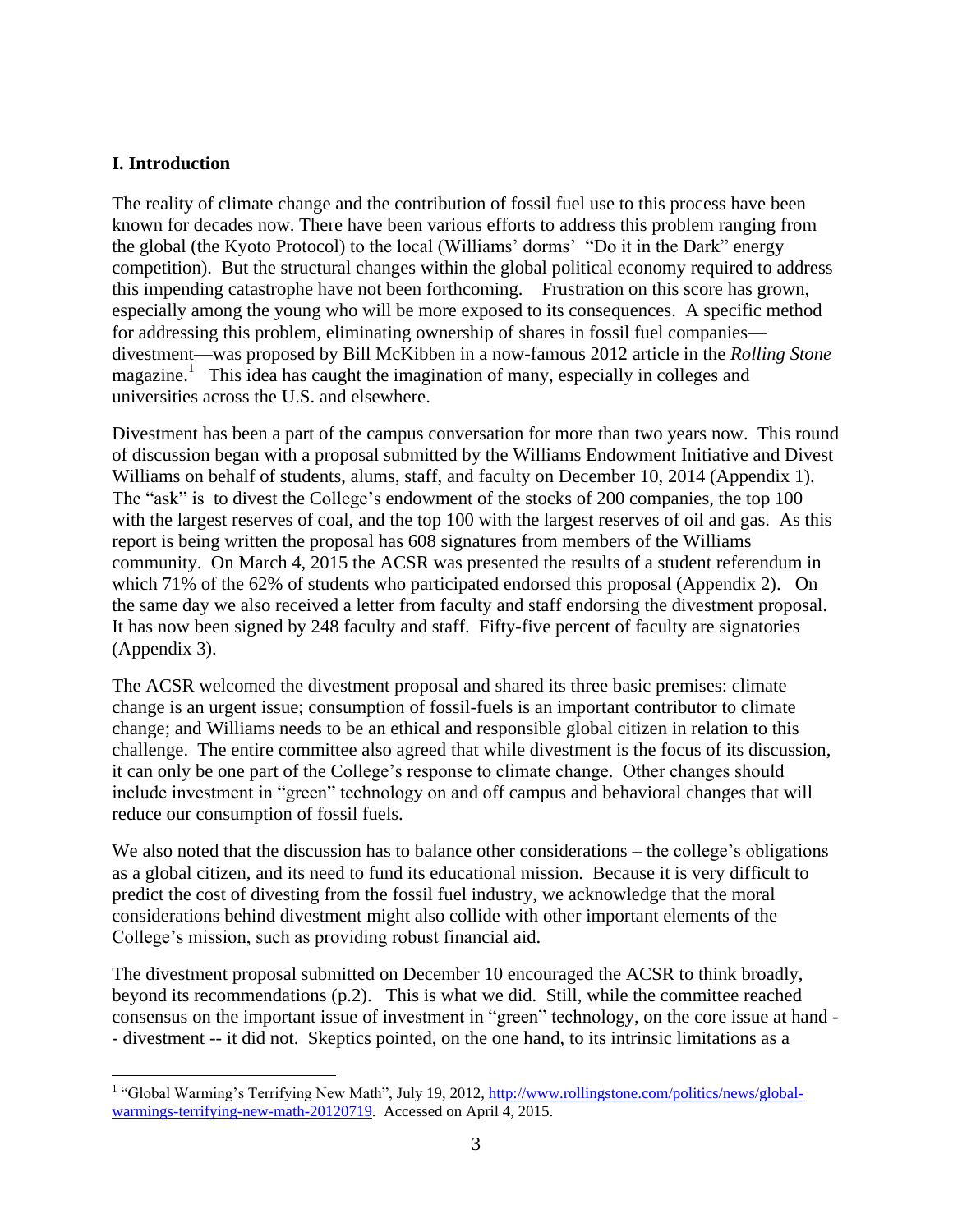#### **I. Introduction**

The reality of climate change and the contribution of fossil fuel use to this process have been known for decades now. There have been various efforts to address this problem ranging from the global (the Kyoto Protocol) to the local (Williams' dorms' "Do it in the Dark" energy competition). But the structural changes within the global political economy required to address this impending catastrophe have not been forthcoming. Frustration on this score has grown, especially among the young who will be more exposed to its consequences. A specific method for addressing this problem, eliminating ownership of shares in fossil fuel companies divestment—was proposed by Bill McKibben in a now-famous 2012 article in the *Rolling Stone* magazine.<sup>1</sup> This idea has caught the imagination of many, especially in colleges and universities across the U.S. and elsewhere.

Divestment has been a part of the campus conversation for more than two years now. This round of discussion began with a proposal submitted by the Williams Endowment Initiative and Divest Williams on behalf of students, alums, staff, and faculty on December 10, 2014 (Appendix 1). The "ask" is to divest the College's endowment of the stocks of 200 companies, the top 100 with the largest reserves of coal, and the top 100 with the largest reserves of oil and gas. As this report is being written the proposal has 608 signatures from members of the Williams community. On March 4, 2015 the ACSR was presented the results of a student referendum in which 71% of the 62% of students who participated endorsed this proposal (Appendix 2). On the same day we also received a letter from faculty and staff endorsing the divestment proposal. It has now been signed by 248 faculty and staff. Fifty-five percent of faculty are signatories (Appendix 3).

The ACSR welcomed the divestment proposal and shared its three basic premises: climate change is an urgent issue; consumption of fossil-fuels is an important contributor to climate change; and Williams needs to be an ethical and responsible global citizen in relation to this challenge. The entire committee also agreed that while divestment is the focus of its discussion, it can only be one part of the College's response to climate change. Other changes should include investment in "green" technology on and off campus and behavioral changes that will reduce our consumption of fossil fuels.

We also noted that the discussion has to balance other considerations – the college's obligations as a global citizen, and its need to fund its educational mission. Because it is very difficult to predict the cost of divesting from the fossil fuel industry, we acknowledge that the moral considerations behind divestment might also collide with other important elements of the College's mission, such as providing robust financial aid.

The divestment proposal submitted on December 10 encouraged the ACSR to think broadly, beyond its recommendations (p.2). This is what we did. Still, while the committee reached consensus on the important issue of investment in "green" technology, on the core issue at hand - - divestment -- it did not. Skeptics pointed, on the one hand, to its intrinsic limitations as a

<sup>&</sup>lt;sup>1</sup> "Global Warming's Terrifying New Math", July 19, 2012, [http://www.rollingstone.com/politics/news/global](http://www.rollingstone.com/politics/news/global-warmings-terrifying-new-math-20120719)[warmings-terrifying-new-math-20120719.](http://www.rollingstone.com/politics/news/global-warmings-terrifying-new-math-20120719) Accessed on April 4, 2015.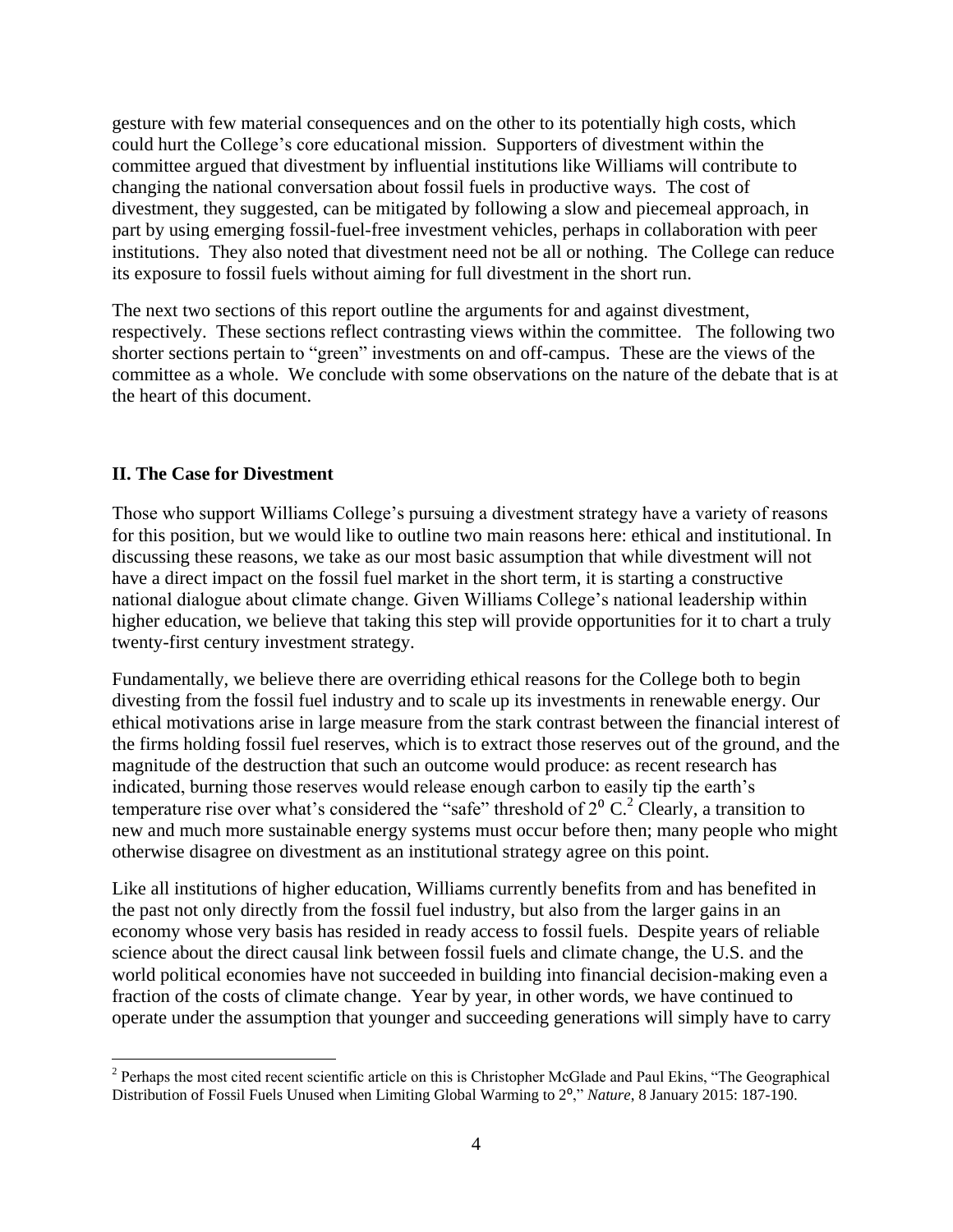gesture with few material consequences and on the other to its potentially high costs, which could hurt the College's core educational mission. Supporters of divestment within the committee argued that divestment by influential institutions like Williams will contribute to changing the national conversation about fossil fuels in productive ways. The cost of divestment, they suggested, can be mitigated by following a slow and piecemeal approach, in part by using emerging fossil-fuel-free investment vehicles, perhaps in collaboration with peer institutions. They also noted that divestment need not be all or nothing. The College can reduce its exposure to fossil fuels without aiming for full divestment in the short run.

The next two sections of this report outline the arguments for and against divestment, respectively. These sections reflect contrasting views within the committee. The following two shorter sections pertain to "green" investments on and off-campus. These are the views of the committee as a whole. We conclude with some observations on the nature of the debate that is at the heart of this document.

#### **II. The Case for Divestment**

Those who support Williams College's pursuing a divestment strategy have a variety of reasons for this position, but we would like to outline two main reasons here: ethical and institutional. In discussing these reasons, we take as our most basic assumption that while divestment will not have a direct impact on the fossil fuel market in the short term, it is starting a constructive national dialogue about climate change. Given Williams College's national leadership within higher education, we believe that taking this step will provide opportunities for it to chart a truly twenty-first century investment strategy.

Fundamentally, we believe there are overriding ethical reasons for the College both to begin divesting from the fossil fuel industry and to scale up its investments in renewable energy. Our ethical motivations arise in large measure from the stark contrast between the financial interest of the firms holding fossil fuel reserves, which is to extract those reserves out of the ground, and the magnitude of the destruction that such an outcome would produce: as recent research has indicated, burning those reserves would release enough carbon to easily tip the earth's temperature rise over what's considered the "safe" threshold of  $2^{\circ}$  C.<sup>2</sup> Clearly, a transition to new and much more sustainable energy systems must occur before then; many people who might otherwise disagree on divestment as an institutional strategy agree on this point.

Like all institutions of higher education, Williams currently benefits from and has benefited in the past not only directly from the fossil fuel industry, but also from the larger gains in an economy whose very basis has resided in ready access to fossil fuels. Despite years of reliable science about the direct causal link between fossil fuels and climate change, the U.S. and the world political economies have not succeeded in building into financial decision-making even a fraction of the costs of climate change. Year by year, in other words, we have continued to operate under the assumption that younger and succeeding generations will simply have to carry

 $\overline{a}$  $2$  Perhaps the most cited recent scientific article on this is Christopher McGlade and Paul Ekins, "The Geographical Distribution of Fossil Fuels Unused when Limiting Global Warming to 2⁰," *Nature*, 8 January 2015: 187-190.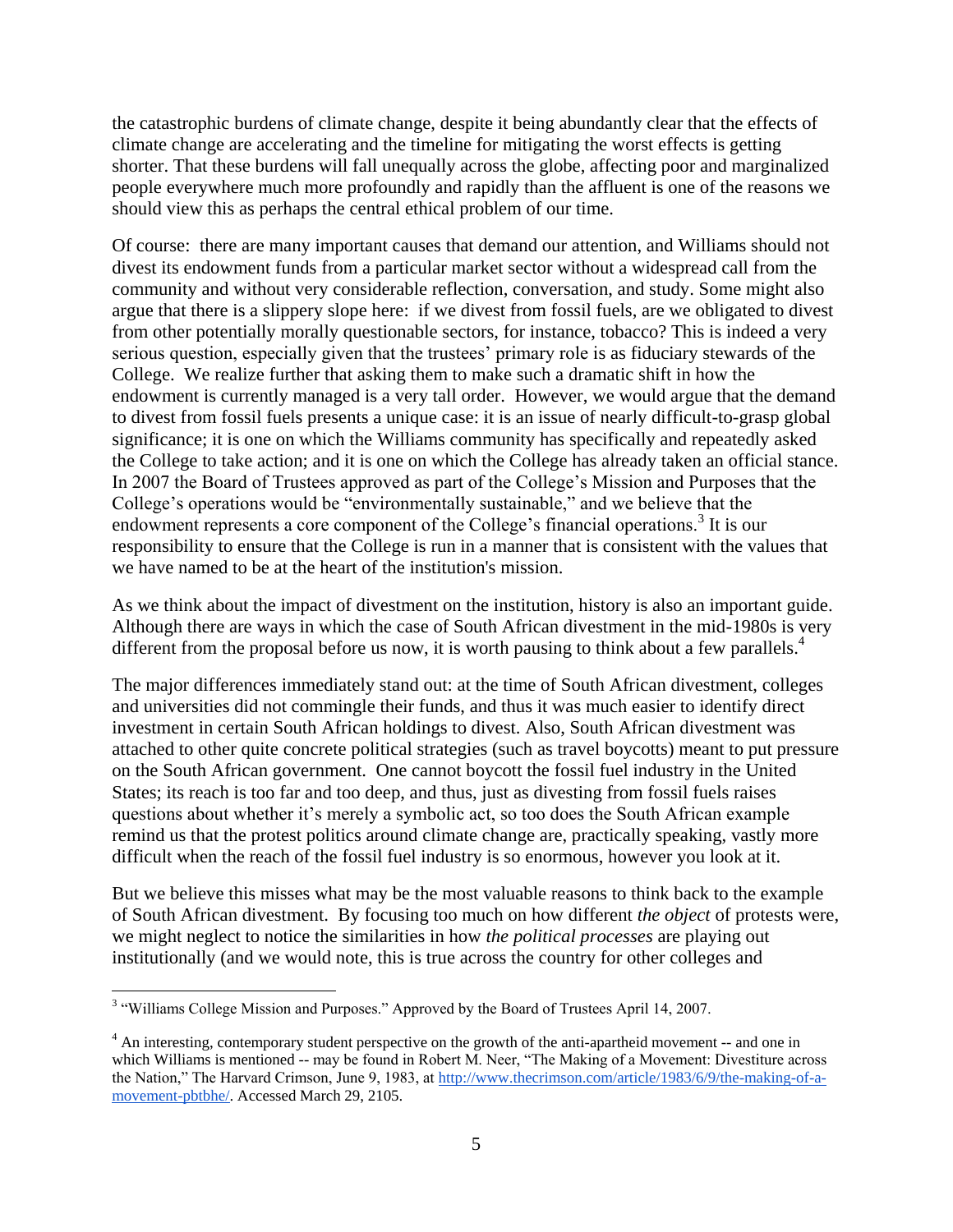the catastrophic burdens of climate change, despite it being abundantly clear that the effects of climate change are accelerating and the timeline for mitigating the worst effects is getting shorter. That these burdens will fall unequally across the globe, affecting poor and marginalized people everywhere much more profoundly and rapidly than the affluent is one of the reasons we should view this as perhaps the central ethical problem of our time.

Of course: there are many important causes that demand our attention, and Williams should not divest its endowment funds from a particular market sector without a widespread call from the community and without very considerable reflection, conversation, and study. Some might also argue that there is a slippery slope here: if we divest from fossil fuels, are we obligated to divest from other potentially morally questionable sectors, for instance, tobacco? This is indeed a very serious question, especially given that the trustees' primary role is as fiduciary stewards of the College. We realize further that asking them to make such a dramatic shift in how the endowment is currently managed is a very tall order. However, we would argue that the demand to divest from fossil fuels presents a unique case: it is an issue of nearly difficult-to-grasp global significance; it is one on which the Williams community has specifically and repeatedly asked the College to take action; and it is one on which the College has already taken an official stance. In 2007 the Board of Trustees approved as part of the College's Mission and Purposes that the College's operations would be "environmentally sustainable," and we believe that the endowment represents a core component of the College's financial operations.<sup>3</sup> It is our responsibility to ensure that the College is run in a manner that is consistent with the values that we have named to be at the heart of the institution's mission.

As we think about the impact of divestment on the institution, history is also an important guide. Although there are ways in which the case of South African divestment in the mid-1980s is very different from the proposal before us now, it is worth pausing to think about a few parallels.<sup>4</sup>

The major differences immediately stand out: at the time of South African divestment, colleges and universities did not commingle their funds, and thus it was much easier to identify direct investment in certain South African holdings to divest. Also, South African divestment was attached to other quite concrete political strategies (such as travel boycotts) meant to put pressure on the South African government. One cannot boycott the fossil fuel industry in the United States; its reach is too far and too deep, and thus, just as divesting from fossil fuels raises questions about whether it's merely a symbolic act, so too does the South African example remind us that the protest politics around climate change are, practically speaking, vastly more difficult when the reach of the fossil fuel industry is so enormous, however you look at it.

But we believe this misses what may be the most valuable reasons to think back to the example of South African divestment. By focusing too much on how different *the object* of protests were, we might neglect to notice the similarities in how *the political processes* are playing out institutionally (and we would note, this is true across the country for other colleges and

<sup>&</sup>lt;sup>3</sup> "Williams College Mission and Purposes." Approved by the Board of Trustees April 14, 2007.

<sup>&</sup>lt;sup>4</sup> An interesting, contemporary student perspective on the growth of the anti-apartheid movement -- and one in which Williams is mentioned -- may be found in Robert M. Neer, "The Making of a Movement: Divestiture across the Nation," The Harvard Crimson, June 9, 1983, a[t http://www.thecrimson.com/article/1983/6/9/the-making-of-a](http://www.thecrimson.com/article/1983/6/9/the-making-of-a-movement-pbtbhe/)[movement-pbtbhe/.](http://www.thecrimson.com/article/1983/6/9/the-making-of-a-movement-pbtbhe/) Accessed March 29, 2105.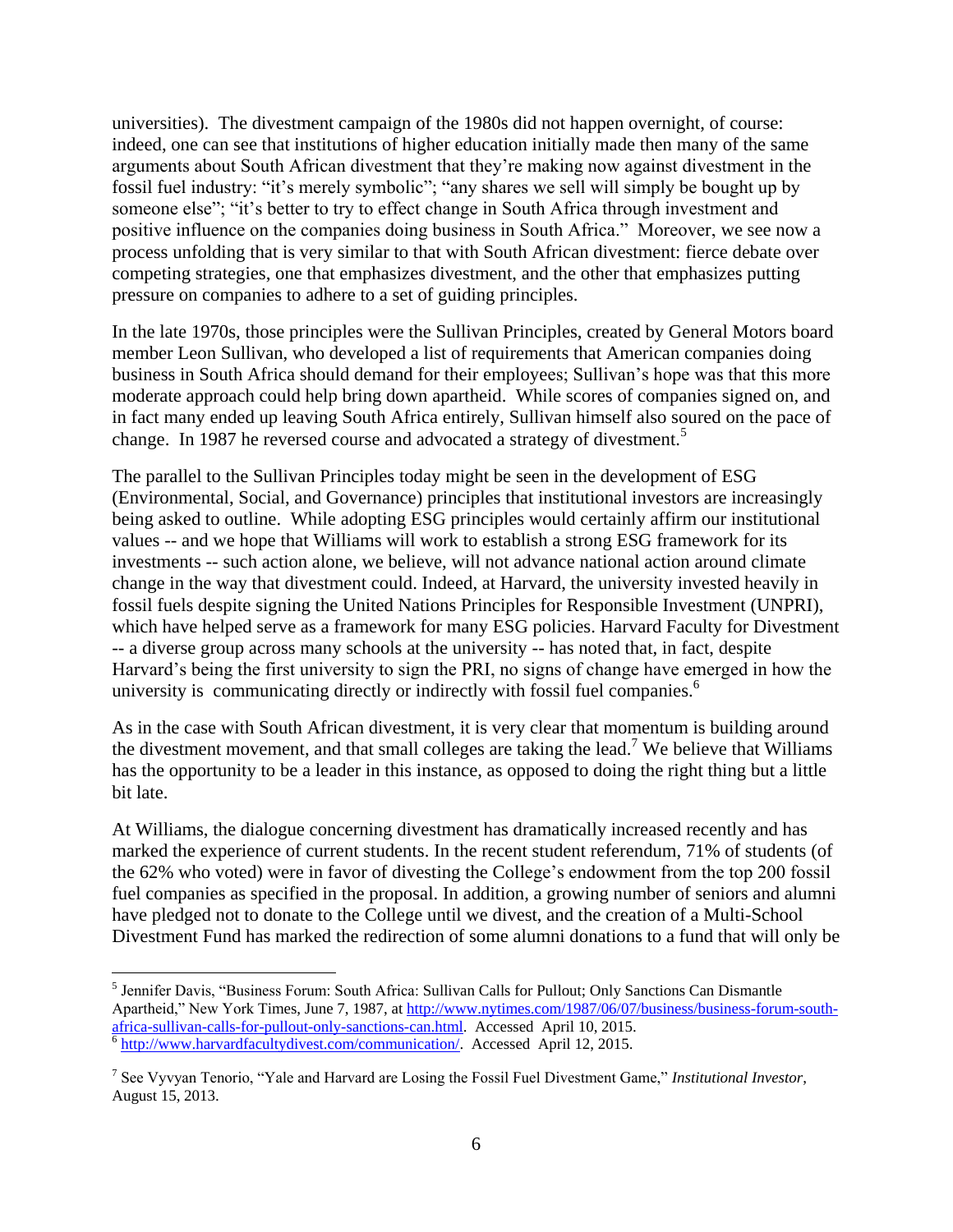universities). The divestment campaign of the 1980s did not happen overnight, of course: indeed, one can see that institutions of higher education initially made then many of the same arguments about South African divestment that they're making now against divestment in the fossil fuel industry: "it's merely symbolic"; "any shares we sell will simply be bought up by someone else"; "it's better to try to effect change in South Africa through investment and positive influence on the companies doing business in South Africa." Moreover, we see now a process unfolding that is very similar to that with South African divestment: fierce debate over competing strategies, one that emphasizes divestment, and the other that emphasizes putting pressure on companies to adhere to a set of guiding principles.

In the late 1970s, those principles were the Sullivan Principles, created by General Motors board member Leon Sullivan, who developed a list of requirements that American companies doing business in South Africa should demand for their employees; Sullivan's hope was that this more moderate approach could help bring down apartheid. While scores of companies signed on, and in fact many ended up leaving South Africa entirely, Sullivan himself also soured on the pace of change. In 1987 he reversed course and advocated a strategy of divestment.<sup>5</sup>

The parallel to the Sullivan Principles today might be seen in the development of ESG (Environmental, Social, and Governance) principles that institutional investors are increasingly being asked to outline. While adopting ESG principles would certainly affirm our institutional values -- and we hope that Williams will work to establish a strong ESG framework for its investments -- such action alone, we believe, will not advance national action around climate change in the way that divestment could. Indeed, at Harvard, the university invested heavily in fossil fuels despite signing the United Nations Principles for Responsible Investment (UNPRI), which have helped serve as a framework for many ESG policies. Harvard Faculty for Divestment -- a diverse group across many schools at the university -- has noted that, in fact, despite Harvard's being the first university to sign the PRI, no signs of change have emerged in how the university is communicating directly or indirectly with fossil fuel companies.<sup>6</sup>

As in the case with South African divestment, it is very clear that momentum is building around the divestment movement, and that small colleges are taking the lead.<sup>7</sup> We believe that Williams has the opportunity to be a leader in this instance, as opposed to doing the right thing but a little bit late.

At Williams, the dialogue concerning divestment has dramatically increased recently and has marked the experience of current students. In the recent student referendum, 71% of students (of the 62% who voted) were in favor of divesting the College's endowment from the top 200 fossil fuel companies as specified in the proposal. In addition, a growing number of seniors and alumni have pledged not to donate to the College until we divest, and the creation of a Multi-School Divestment Fund has marked the redirection of some alumni donations to a fund that will only be

<sup>&</sup>lt;sup>5</sup> Jennifer Davis, "Business Forum: South Africa: Sullivan Calls for Pullout; Only Sanctions Can Dismantle Apartheid," New York Times, June 7, 1987, at [http://www.nytimes.com/1987/06/07/business/business-forum-south](http://www.nytimes.com/1987/06/07/business/business-forum-south-africa-sullivan-calls-for-pullout-only-sanctions-can.html)[africa-sullivan-calls-for-pullout-only-sanctions-can.html.](http://www.nytimes.com/1987/06/07/business/business-forum-south-africa-sullivan-calls-for-pullout-only-sanctions-can.html) Accessed April 10, 2015.<br><sup>6</sup> [http://www.harvardfacultydivest.com/communication/.](http://www.harvardfacultydivest.com/communication/) Accessed April 12, 2015.

<sup>7</sup> See Vyvyan Tenorio, "Yale and Harvard are Losing the Fossil Fuel Divestment Game," *Institutional Investor*, August 15, 2013.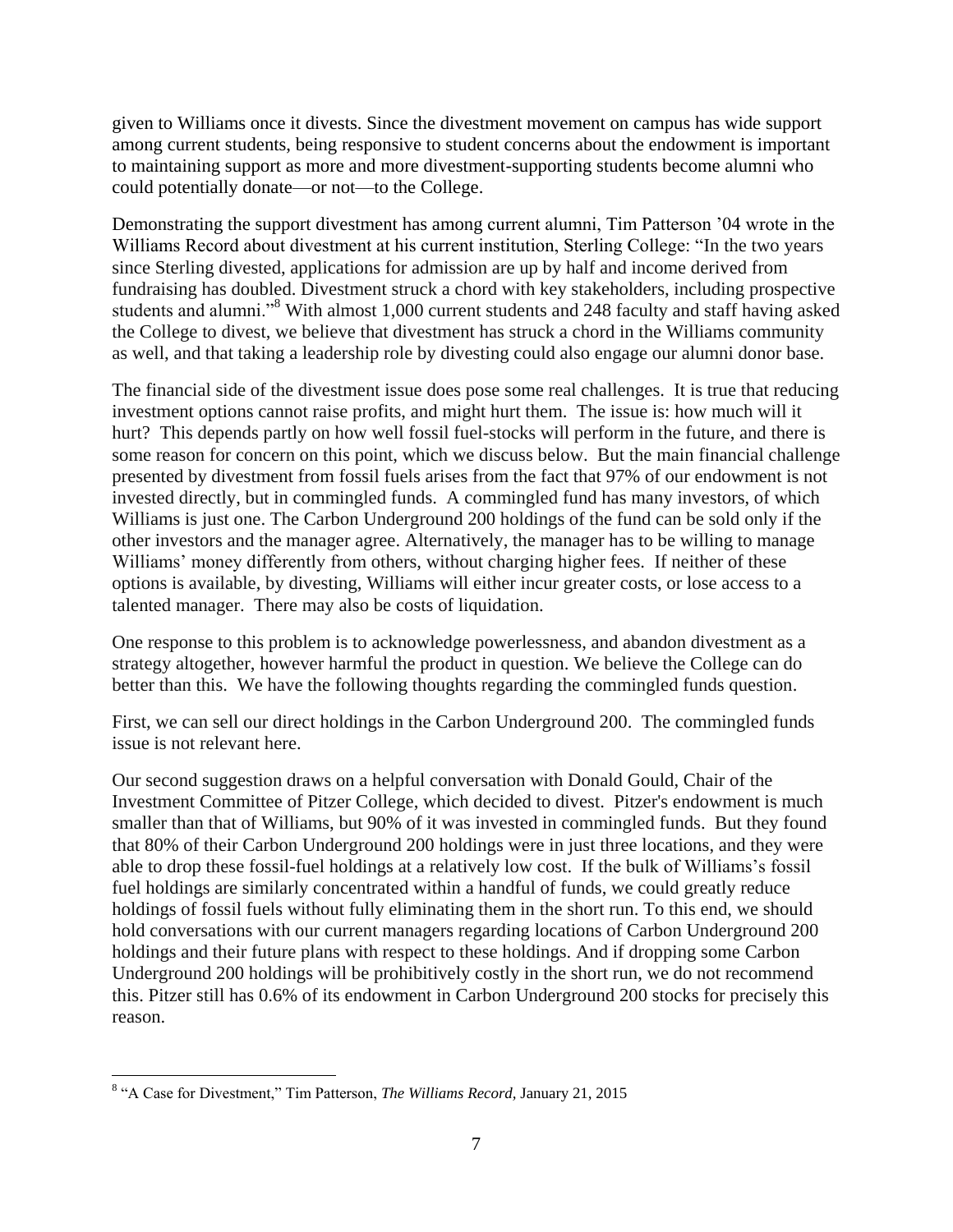given to Williams once it divests. Since the divestment movement on campus has wide support among current students, being responsive to student concerns about the endowment is important to maintaining support as more and more divestment-supporting students become alumni who could potentially donate—or not—to the College.

Demonstrating the support divestment has among current alumni, Tim Patterson '04 wrote in the Williams Record about divestment at his current institution, Sterling College: "In the two years since Sterling divested, applications for admission are up by half and income derived from fundraising has doubled. Divestment struck a chord with key stakeholders, including prospective students and alumni."<sup>8</sup> With almost 1,000 current students and 248 faculty and staff having asked the College to divest, we believe that divestment has struck a chord in the Williams community as well, and that taking a leadership role by divesting could also engage our alumni donor base.

The financial side of the divestment issue does pose some real challenges. It is true that reducing investment options cannot raise profits, and might hurt them. The issue is: how much will it hurt? This depends partly on how well fossil fuel-stocks will perform in the future, and there is some reason for concern on this point, which we discuss below. But the main financial challenge presented by divestment from fossil fuels arises from the fact that 97% of our endowment is not invested directly, but in commingled funds. A commingled fund has many investors, of which Williams is just one. The Carbon Underground 200 holdings of the fund can be sold only if the other investors and the manager agree. Alternatively, the manager has to be willing to manage Williams' money differently from others, without charging higher fees. If neither of these options is available, by divesting, Williams will either incur greater costs, or lose access to a talented manager. There may also be costs of liquidation.

One response to this problem is to acknowledge powerlessness, and abandon divestment as a strategy altogether, however harmful the product in question. We believe the College can do better than this. We have the following thoughts regarding the commingled funds question.

First, we can sell our direct holdings in the Carbon Underground 200. The commingled funds issue is not relevant here.

Our second suggestion draws on a helpful conversation with Donald Gould, Chair of the Investment Committee of Pitzer College, which decided to divest. Pitzer's endowment is much smaller than that of Williams, but 90% of it was invested in commingled funds. But they found that 80% of their Carbon Underground 200 holdings were in just three locations, and they were able to drop these fossil-fuel holdings at a relatively low cost. If the bulk of Williams's fossil fuel holdings are similarly concentrated within a handful of funds, we could greatly reduce holdings of fossil fuels without fully eliminating them in the short run. To this end, we should hold conversations with our current managers regarding locations of Carbon Underground 200 holdings and their future plans with respect to these holdings. And if dropping some Carbon Underground 200 holdings will be prohibitively costly in the short run, we do not recommend this. Pitzer still has 0.6% of its endowment in Carbon Underground 200 stocks for precisely this reason.

 8 "A Case for Divestment," Tim Patterson, *The Williams Record,* January 21, 2015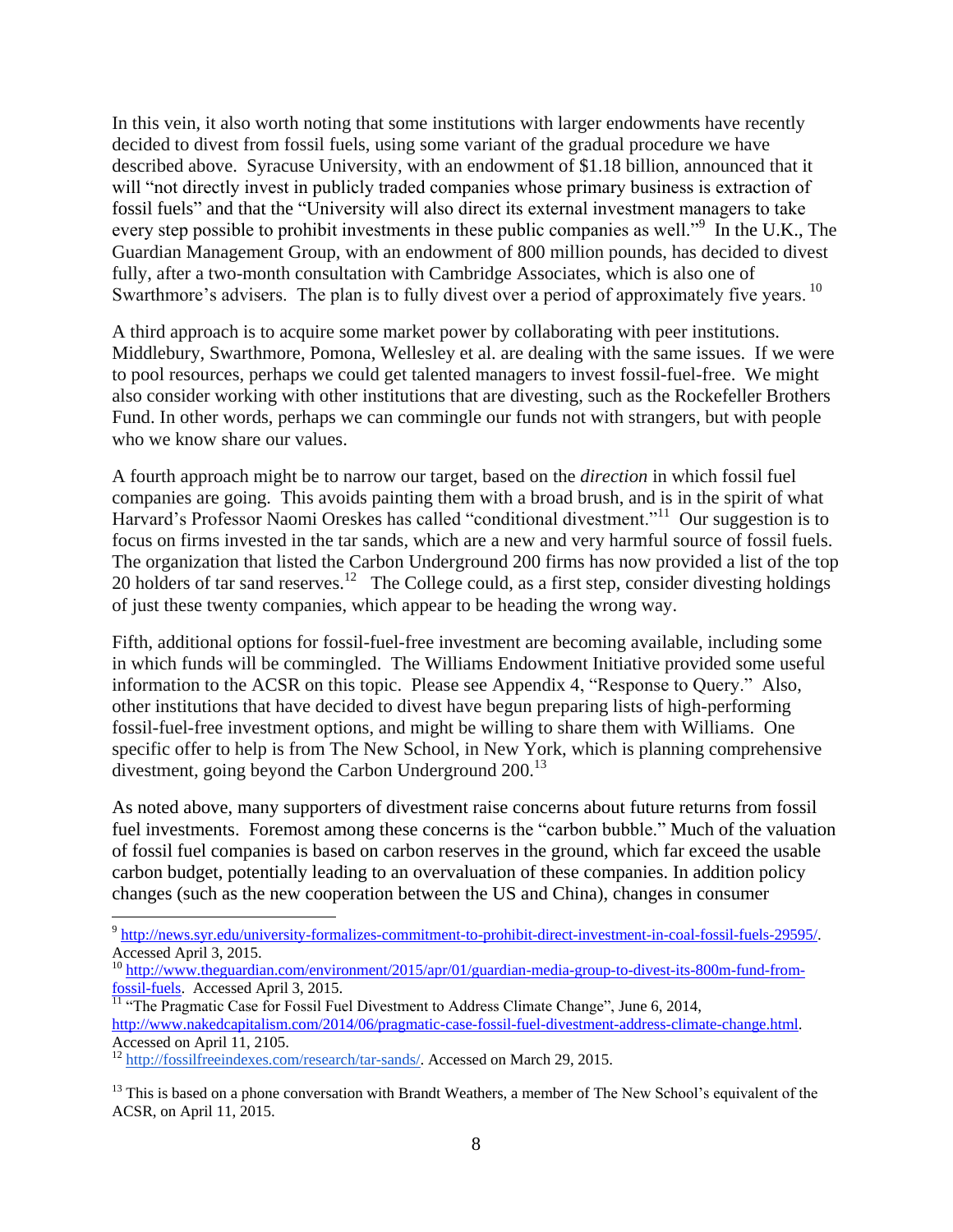In this vein, it also worth noting that some institutions with larger endowments have recently decided to divest from fossil fuels, using some variant of the gradual procedure we have described above. Syracuse University, with an endowment of \$1.18 billion, announced that it will "not directly invest in publicly traded companies whose primary business is extraction of fossil fuels" and that the "University will also direct its external investment managers to take every step possible to prohibit investments in these public companies as well."<sup>9</sup> In the U.K., The Guardian Management Group, with an endowment of 800 million pounds, has decided to divest fully, after a two-month consultation with Cambridge Associates, which is also one of Swarthmore's advisers. The plan is to fully divest over a period of approximately five years. <sup>10</sup>

A third approach is to acquire some market power by collaborating with peer institutions. Middlebury, Swarthmore, Pomona, Wellesley et al. are dealing with the same issues. If we were to pool resources, perhaps we could get talented managers to invest fossil-fuel-free. We might also consider working with other institutions that are divesting, such as the Rockefeller Brothers Fund. In other words, perhaps we can commingle our funds not with strangers, but with people who we know share our values.

A fourth approach might be to narrow our target, based on the *direction* in which fossil fuel companies are going. This avoids painting them with a broad brush, and is in the spirit of what Harvard's Professor Naomi Oreskes has called "conditional divestment."<sup>11</sup> Our suggestion is to focus on firms invested in the tar sands, which are a new and very harmful source of fossil fuels. The organization that listed the Carbon Underground 200 firms has now provided a list of the top 20 holders of tar sand reserves.<sup>12</sup> The College could, as a first step, consider divesting holdings of just these twenty companies, which appear to be heading the wrong way.

Fifth, additional options for fossil-fuel-free investment are becoming available, including some in which funds will be commingled. The Williams Endowment Initiative provided some useful information to the ACSR on this topic. Please see Appendix 4, "Response to Query." Also, other institutions that have decided to divest have begun preparing lists of high-performing fossil-fuel-free investment options, and might be willing to share them with Williams. One specific offer to help is from The New School, in New York, which is planning comprehensive divestment, going beyond the Carbon Underground  $200^{13}$ 

As noted above, many supporters of divestment raise concerns about future returns from fossil fuel investments. Foremost among these concerns is the "carbon bubble." Much of the valuation of fossil fuel companies is based on carbon reserves in the ground, which far exceed the usable carbon budget, potentially leading to an overvaluation of these companies. In addition policy changes (such as the new cooperation between the US and China), changes in consumer

<sup>&</sup>lt;sup>9</sup> http://news.syr.edu/university-formalizes-commitment-to-prohibit-direct-investment-in-coal-fossil-fuels-29595/. Accessed April 3, 2015.

<sup>10</sup> [http://www.theguardian.com/environment/2015/apr/01/guardian-media-group-to-divest-its-800m-fund-from](http://www.theguardian.com/environment/2015/apr/01/guardian-media-group-to-divest-its-800m-fund-from-fossil-fuels)[fossil-fuels.](http://www.theguardian.com/environment/2015/apr/01/guardian-media-group-to-divest-its-800m-fund-from-fossil-fuels) Accessed April 3, 2015.

 $\frac{11}{11}$  "The Pragmatic Case for Fossil Fuel Divestment to Address Climate Change", June 6, 2014, [http://www.nakedcapitalism.com/2014/06/pragmatic-case-fossil-fuel-divestment-address-climate-change.html.](http://www.nakedcapitalism.com/2014/06/pragmatic-case-fossil-fuel-divestment-address-climate-change.html)  Accessed on April 11, 2105.

<sup>&</sup>lt;sup>12</sup> [http://fossilfreeindexes.com/research/tar-sands/.](http://fossilfreeindexes.com/research/tar-sands/) Accessed on March 29, 2015.

<sup>&</sup>lt;sup>13</sup> This is based on a phone conversation with Brandt Weathers, a member of The New School's equivalent of the ACSR, on April 11, 2015.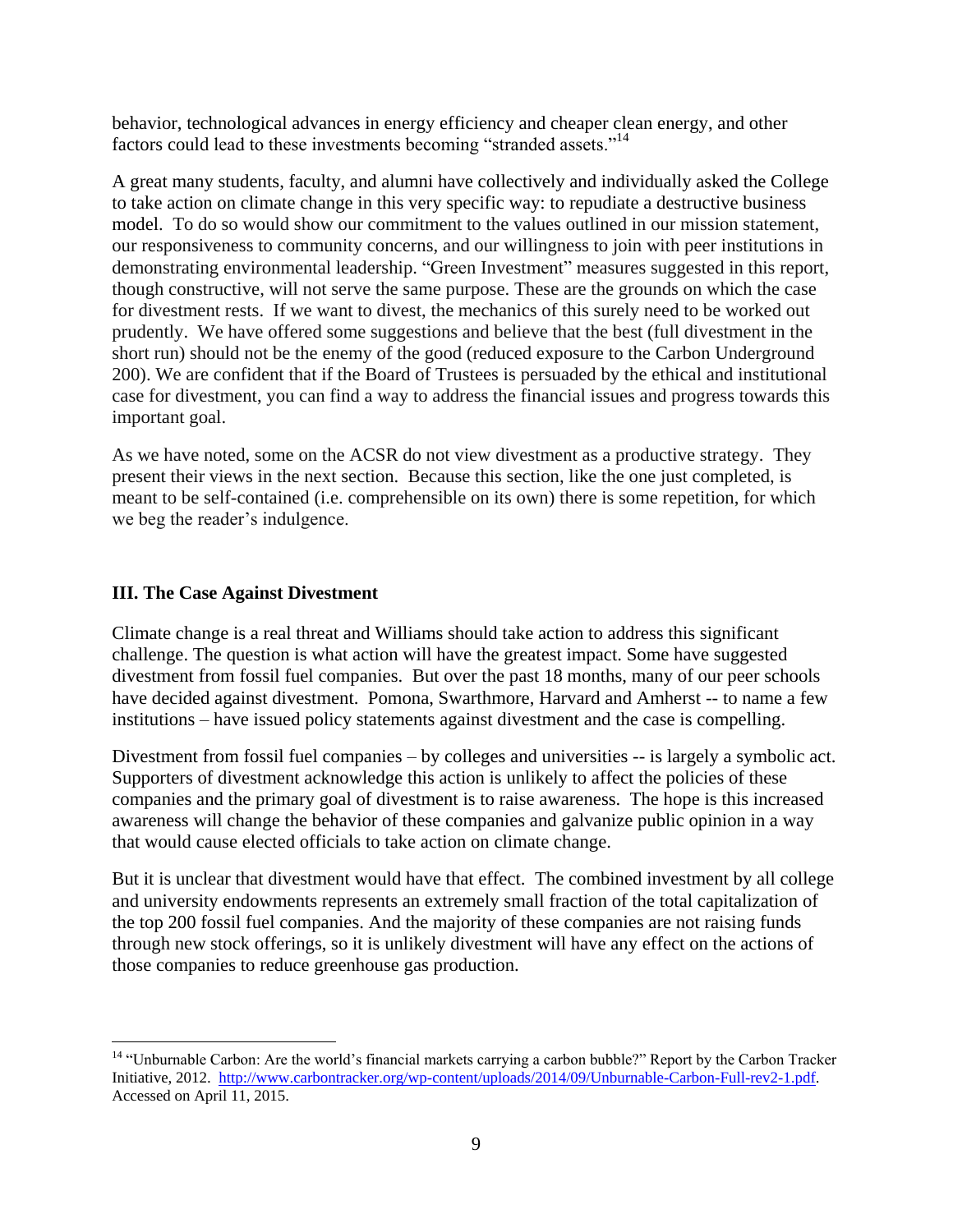behavior, technological advances in energy efficiency and cheaper clean energy, and other factors could lead to these investments becoming "stranded assets."<sup>14</sup>

A great many students, faculty, and alumni have collectively and individually asked the College to take action on climate change in this very specific way: to repudiate a destructive business model. To do so would show our commitment to the values outlined in our mission statement, our responsiveness to community concerns, and our willingness to join with peer institutions in demonstrating environmental leadership. "Green Investment" measures suggested in this report, though constructive, will not serve the same purpose. These are the grounds on which the case for divestment rests. If we want to divest, the mechanics of this surely need to be worked out prudently. We have offered some suggestions and believe that the best (full divestment in the short run) should not be the enemy of the good (reduced exposure to the Carbon Underground 200). We are confident that if the Board of Trustees is persuaded by the ethical and institutional case for divestment, you can find a way to address the financial issues and progress towards this important goal.

As we have noted, some on the ACSR do not view divestment as a productive strategy. They present their views in the next section. Because this section, like the one just completed, is meant to be self-contained (i.e. comprehensible on its own) there is some repetition, for which we beg the reader's indulgence.

#### **III. The Case Against Divestment**

 $\overline{a}$ 

Climate change is a real threat and Williams should take action to address this significant challenge. The question is what action will have the greatest impact. Some have suggested divestment from fossil fuel companies. But over the past 18 months, many of our peer schools have decided against divestment. Pomona, Swarthmore, Harvard and Amherst -- to name a few institutions – have issued policy statements against divestment and the case is compelling.

Divestment from fossil fuel companies – by colleges and universities -- is largely a symbolic act. Supporters of divestment acknowledge this action is unlikely to affect the policies of these companies and the primary goal of divestment is to raise awareness. The hope is this increased awareness will change the behavior of these companies and galvanize public opinion in a way that would cause elected officials to take action on climate change.

But it is unclear that divestment would have that effect. The combined investment by all college and university endowments represents an extremely small fraction of the total capitalization of the top 200 fossil fuel companies. And the majority of these companies are not raising funds through new stock offerings, so it is unlikely divestment will have any effect on the actions of those companies to reduce greenhouse gas production.

<sup>&</sup>lt;sup>14</sup> "Unburnable Carbon: Are the world's financial markets carrying a carbon bubble?" Report by the Carbon Tracker Initiative, 2012. [http://www.carbontracker.org/wp-content/uploads/2014/09/Unburnable-Carbon-Full-rev2-1.pdf.](http://www.carbontracker.org/wp-content/uploads/2014/09/Unburnable-Carbon-Full-rev2-1.pdf) Accessed on April 11, 2015.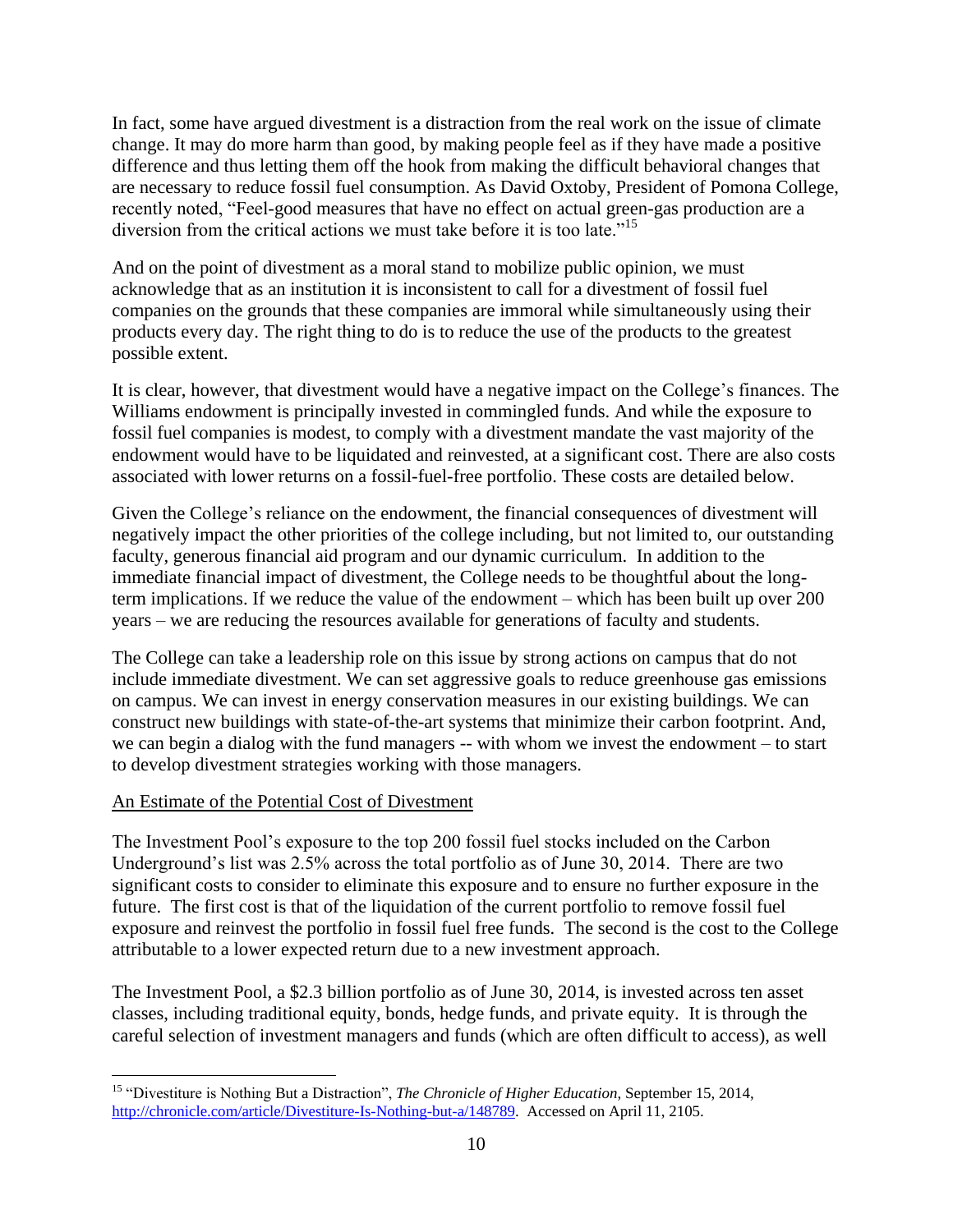In fact, some have argued divestment is a distraction from the real work on the issue of climate change. It may do more harm than good, by making people feel as if they have made a positive difference and thus letting them off the hook from making the difficult behavioral changes that are necessary to reduce fossil fuel consumption. As David Oxtoby, President of Pomona College, recently noted, "Feel-good measures that have no effect on actual green-gas production are a diversion from the critical actions we must take before it is too late."<sup>15</sup>

And on the point of divestment as a moral stand to mobilize public opinion, we must acknowledge that as an institution it is inconsistent to call for a divestment of fossil fuel companies on the grounds that these companies are immoral while simultaneously using their products every day. The right thing to do is to reduce the use of the products to the greatest possible extent.

It is clear, however, that divestment would have a negative impact on the College's finances. The Williams endowment is principally invested in commingled funds. And while the exposure to fossil fuel companies is modest, to comply with a divestment mandate the vast majority of the endowment would have to be liquidated and reinvested, at a significant cost. There are also costs associated with lower returns on a fossil-fuel-free portfolio. These costs are detailed below.

Given the College's reliance on the endowment, the financial consequences of divestment will negatively impact the other priorities of the college including, but not limited to, our outstanding faculty, generous financial aid program and our dynamic curriculum. In addition to the immediate financial impact of divestment, the College needs to be thoughtful about the longterm implications. If we reduce the value of the endowment – which has been built up over 200 years – we are reducing the resources available for generations of faculty and students.

The College can take a leadership role on this issue by strong actions on campus that do not include immediate divestment. We can set aggressive goals to reduce greenhouse gas emissions on campus. We can invest in energy conservation measures in our existing buildings. We can construct new buildings with state-of-the-art systems that minimize their carbon footprint. And, we can begin a dialog with the fund managers -- with whom we invest the endowment – to start to develop divestment strategies working with those managers.

#### An Estimate of the Potential Cost of Divestment

 $\overline{a}$ 

The Investment Pool's exposure to the top 200 fossil fuel stocks included on the Carbon Underground's list was 2.5% across the total portfolio as of June 30, 2014. There are two significant costs to consider to eliminate this exposure and to ensure no further exposure in the future. The first cost is that of the liquidation of the current portfolio to remove fossil fuel exposure and reinvest the portfolio in fossil fuel free funds. The second is the cost to the College attributable to a lower expected return due to a new investment approach.

The Investment Pool, a \$2.3 billion portfolio as of June 30, 2014, is invested across ten asset classes, including traditional equity, bonds, hedge funds, and private equity. It is through the careful selection of investment managers and funds (which are often difficult to access), as well

<sup>15</sup> "Divestiture is Nothing But a Distraction", *The Chronicle of Higher Education*, September 15, 2014, [http://chronicle.com/article/Divestiture-Is-Nothing-but-a/148789.](http://chronicle.com/article/Divestiture-Is-Nothing-but-a/148789) Accessed on April 11, 2105.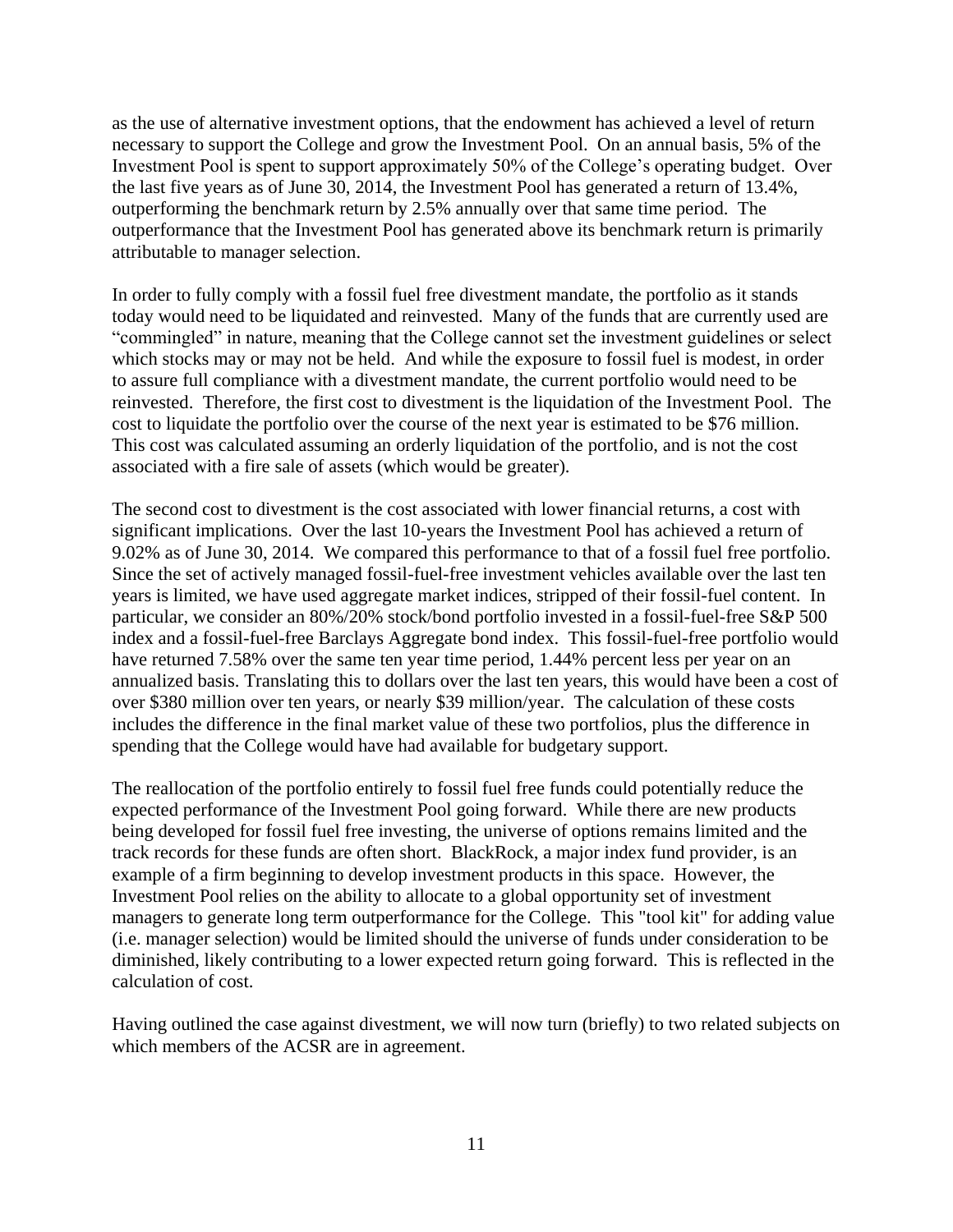as the use of alternative investment options, that the endowment has achieved a level of return necessary to support the College and grow the Investment Pool. On an annual basis, 5% of the Investment Pool is spent to support approximately 50% of the College's operating budget. Over the last five years as of June 30, 2014, the Investment Pool has generated a return of 13.4%, outperforming the benchmark return by 2.5% annually over that same time period. The outperformance that the Investment Pool has generated above its benchmark return is primarily attributable to manager selection.

In order to fully comply with a fossil fuel free divestment mandate, the portfolio as it stands today would need to be liquidated and reinvested. Many of the funds that are currently used are "commingled" in nature, meaning that the College cannot set the investment guidelines or select which stocks may or may not be held. And while the exposure to fossil fuel is modest, in order to assure full compliance with a divestment mandate, the current portfolio would need to be reinvested. Therefore, the first cost to divestment is the liquidation of the Investment Pool. The cost to liquidate the portfolio over the course of the next year is estimated to be \$76 million. This cost was calculated assuming an orderly liquidation of the portfolio, and is not the cost associated with a fire sale of assets (which would be greater).

The second cost to divestment is the cost associated with lower financial returns, a cost with significant implications. Over the last 10-years the Investment Pool has achieved a return of 9.02% as of June 30, 2014. We compared this performance to that of a fossil fuel free portfolio. Since the set of actively managed fossil-fuel-free investment vehicles available over the last ten years is limited, we have used aggregate market indices, stripped of their fossil-fuel content. In particular, we consider an 80%/20% stock/bond portfolio invested in a fossil-fuel-free S&P 500 index and a fossil-fuel-free Barclays Aggregate bond index. This fossil-fuel-free portfolio would have returned 7.58% over the same ten year time period, 1.44% percent less per year on an annualized basis. Translating this to dollars over the last ten years, this would have been a cost of over \$380 million over ten years, or nearly \$39 million/year. The calculation of these costs includes the difference in the final market value of these two portfolios, plus the difference in spending that the College would have had available for budgetary support.

The reallocation of the portfolio entirely to fossil fuel free funds could potentially reduce the expected performance of the Investment Pool going forward. While there are new products being developed for fossil fuel free investing, the universe of options remains limited and the track records for these funds are often short. BlackRock, a major index fund provider, is an example of a firm beginning to develop investment products in this space. However, the Investment Pool relies on the ability to allocate to a global opportunity set of investment managers to generate long term outperformance for the College. This "tool kit" for adding value (i.e. manager selection) would be limited should the universe of funds under consideration to be diminished, likely contributing to a lower expected return going forward. This is reflected in the calculation of cost.

Having outlined the case against divestment, we will now turn (briefly) to two related subjects on which members of the ACSR are in agreement.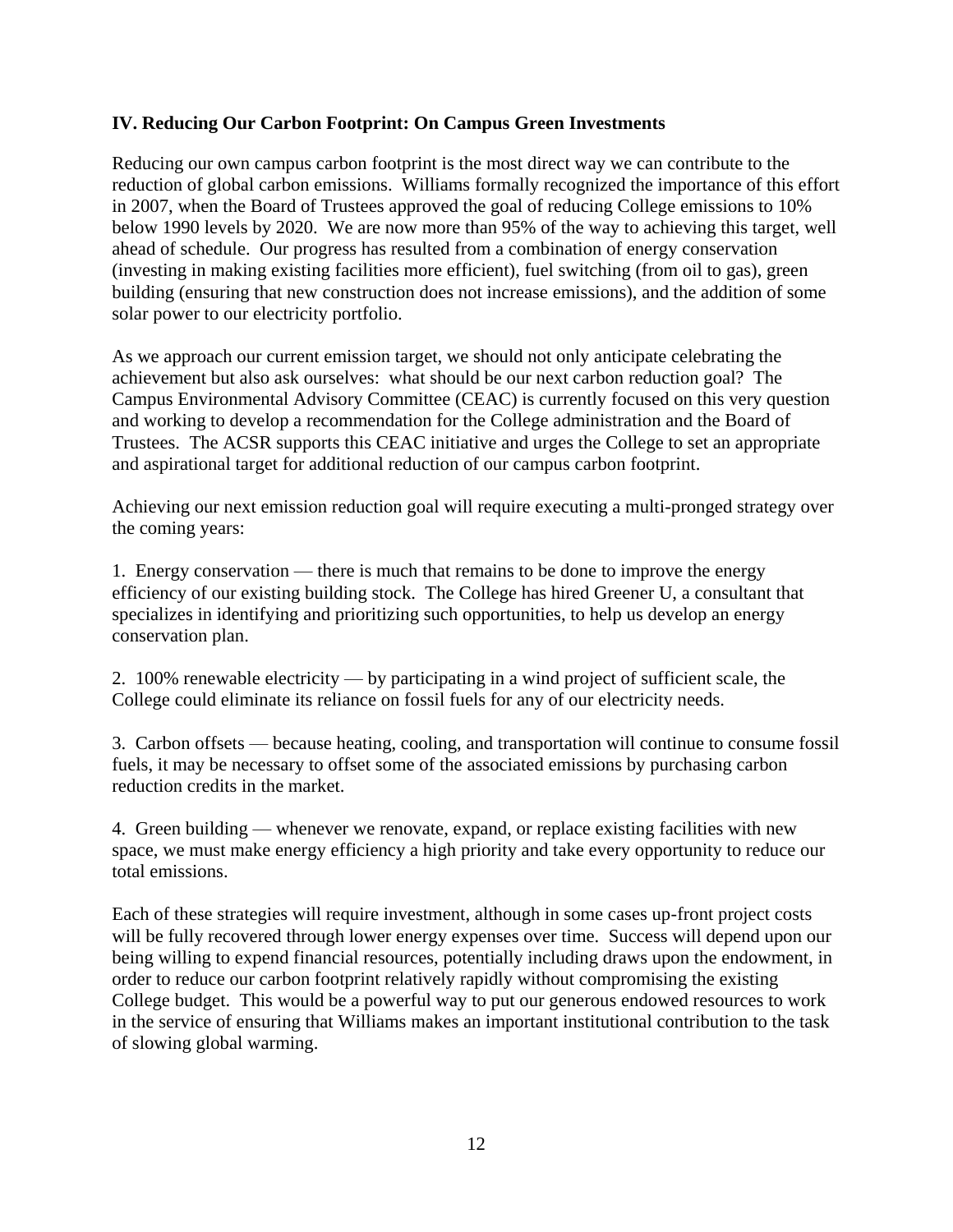#### **IV. Reducing Our Carbon Footprint: On Campus Green Investments**

Reducing our own campus carbon footprint is the most direct way we can contribute to the reduction of global carbon emissions. Williams formally recognized the importance of this effort in 2007, when the Board of Trustees approved the goal of reducing College emissions to 10% below 1990 levels by 2020. We are now more than 95% of the way to achieving this target, well ahead of schedule. Our progress has resulted from a combination of energy conservation (investing in making existing facilities more efficient), fuel switching (from oil to gas), green building (ensuring that new construction does not increase emissions), and the addition of some solar power to our electricity portfolio.

As we approach our current emission target, we should not only anticipate celebrating the achievement but also ask ourselves: what should be our next carbon reduction goal? The Campus Environmental Advisory Committee (CEAC) is currently focused on this very question and working to develop a recommendation for the College administration and the Board of Trustees. The ACSR supports this CEAC initiative and urges the College to set an appropriate and aspirational target for additional reduction of our campus carbon footprint.

Achieving our next emission reduction goal will require executing a multi-pronged strategy over the coming years:

1. Energy conservation — there is much that remains to be done to improve the energy efficiency of our existing building stock. The College has hired Greener U, a consultant that specializes in identifying and prioritizing such opportunities, to help us develop an energy conservation plan.

2. 100% renewable electricity — by participating in a wind project of sufficient scale, the College could eliminate its reliance on fossil fuels for any of our electricity needs.

3. Carbon offsets — because heating, cooling, and transportation will continue to consume fossil fuels, it may be necessary to offset some of the associated emissions by purchasing carbon reduction credits in the market.

4. Green building — whenever we renovate, expand, or replace existing facilities with new space, we must make energy efficiency a high priority and take every opportunity to reduce our total emissions.

Each of these strategies will require investment, although in some cases up-front project costs will be fully recovered through lower energy expenses over time. Success will depend upon our being willing to expend financial resources, potentially including draws upon the endowment, in order to reduce our carbon footprint relatively rapidly without compromising the existing College budget. This would be a powerful way to put our generous endowed resources to work in the service of ensuring that Williams makes an important institutional contribution to the task of slowing global warming.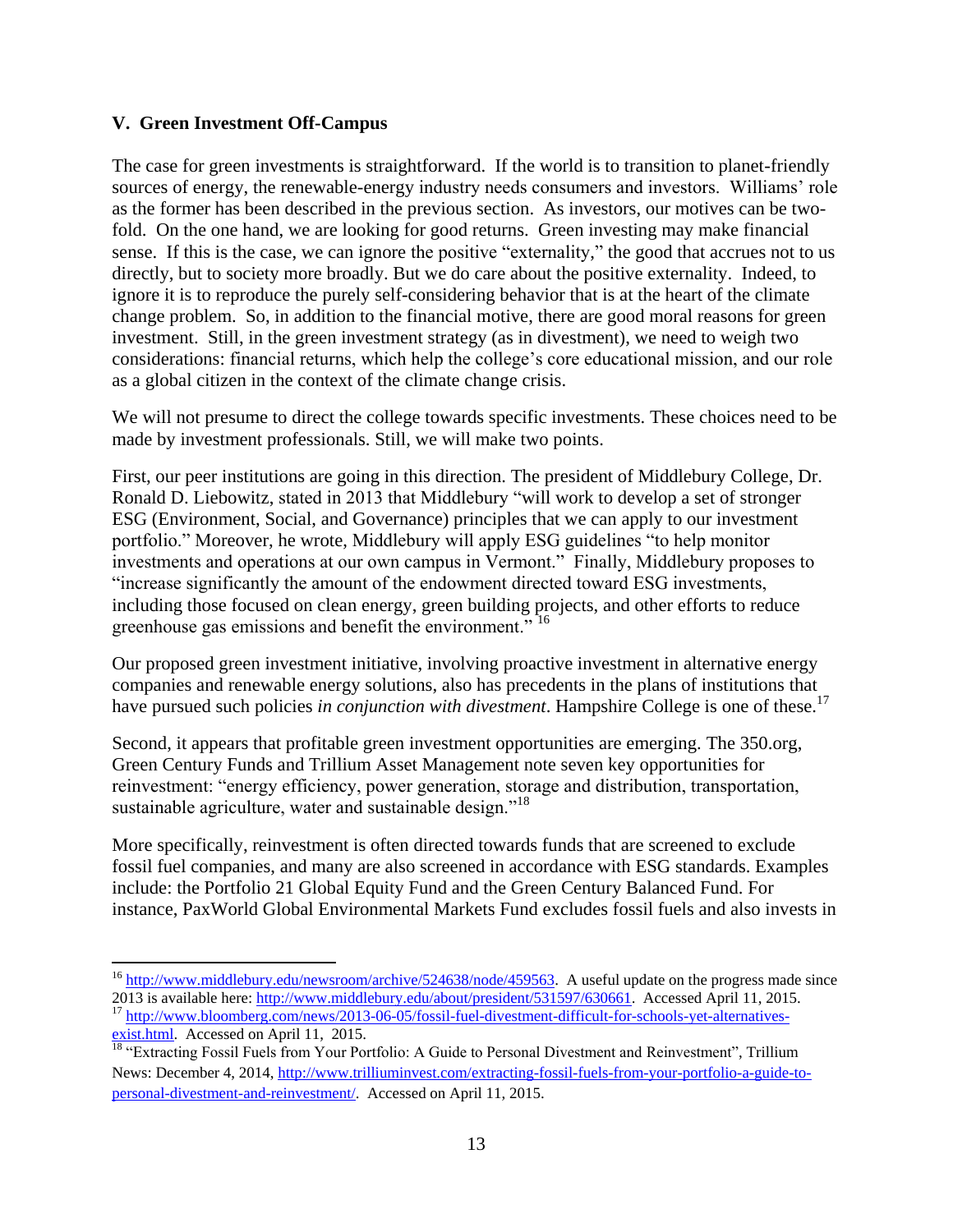#### **V. Green Investment Off-Campus**

The case for green investments is straightforward. If the world is to transition to planet-friendly sources of energy, the renewable-energy industry needs consumers and investors. Williams' role as the former has been described in the previous section. As investors, our motives can be twofold. On the one hand, we are looking for good returns. Green investing may make financial sense. If this is the case, we can ignore the positive "externality," the good that accrues not to us directly, but to society more broadly. But we do care about the positive externality. Indeed, to ignore it is to reproduce the purely self-considering behavior that is at the heart of the climate change problem. So, in addition to the financial motive, there are good moral reasons for green investment. Still, in the green investment strategy (as in divestment), we need to weigh two considerations: financial returns, which help the college's core educational mission, and our role as a global citizen in the context of the climate change crisis.

We will not presume to direct the college towards specific investments. These choices need to be made by investment professionals. Still, we will make two points.

First, our peer institutions are going in this direction. The president of Middlebury College, Dr. Ronald D. Liebowitz, stated in 2013 that Middlebury "will work to develop a set of stronger ESG (Environment, Social, and Governance) principles that we can apply to our investment portfolio." Moreover, he wrote, Middlebury will apply ESG guidelines "to help monitor investments and operations at our own campus in Vermont." Finally, Middlebury proposes to "increase significantly the amount of the endowment directed toward ESG investments, including those focused on clean energy, green building projects, and other efforts to reduce greenhouse gas emissions and benefit the environment." <sup>16</sup>

Our proposed green investment initiative, involving proactive investment in alternative energy companies and renewable energy solutions, also has precedents in the plans of institutions that have pursued such policies *in conjunction with divestment*. Hampshire College is one of these.<sup>17</sup>

Second, it appears that profitable green investment opportunities are emerging. The 350.org, Green Century Funds and Trillium Asset Management note seven key opportunities for reinvestment: "energy efficiency, power generation, storage and distribution, transportation, sustainable agriculture, water and sustainable design."<sup>18</sup>

More specifically, reinvestment is often directed towards funds that are screened to exclude fossil fuel companies, and many are also screened in accordance with ESG standards. Examples include: the Portfolio 21 Global Equity Fund and the Green Century Balanced Fund. For instance, PaxWorld Global Environmental Markets Fund excludes fossil fuels and also invests in

<sup>&</sup>lt;sup>16</sup> [http://www.middlebury.edu/newsroom/archive/524638/node/459563.](http://www.middlebury.edu/newsroom/archive/524638/node/459563) A useful update on the progress made since 2013 is available here[: http://www.middlebury.edu/about/president/531597/630661.](http://www.middlebury.edu/about/president/531597/630661) Accessed April 11, 2015. <sup>17</sup> [http://www.bloomberg.com/news/2013-06-05/fossil-fuel-divestment-difficult-for-schools-yet-alternatives-](http://www.bloomberg.com/news/2013-06-05/fossil-fuel-divestment-difficult-for-schools-yet-alternatives-exist.html)

[exist.html.](http://www.bloomberg.com/news/2013-06-05/fossil-fuel-divestment-difficult-for-schools-yet-alternatives-exist.html) Accessed on April 11, 2015.

<sup>&</sup>lt;sup>18</sup> "Extracting Fossil Fuels from Your Portfolio: A Guide to Personal Divestment and Reinvestment", Trillium News: December 4, 2014[, http://www.trilliuminvest.com/extracting-fossil-fuels-from-your-portfolio-a-guide-to](http://www.trilliuminvest.com/extracting-fossil-fuels-from-your-portfolio-a-guide-to-personal-divestment-and-reinvestment/)[personal-divestment-and-reinvestment/.](http://www.trilliuminvest.com/extracting-fossil-fuels-from-your-portfolio-a-guide-to-personal-divestment-and-reinvestment/) Accessed on April 11, 2015.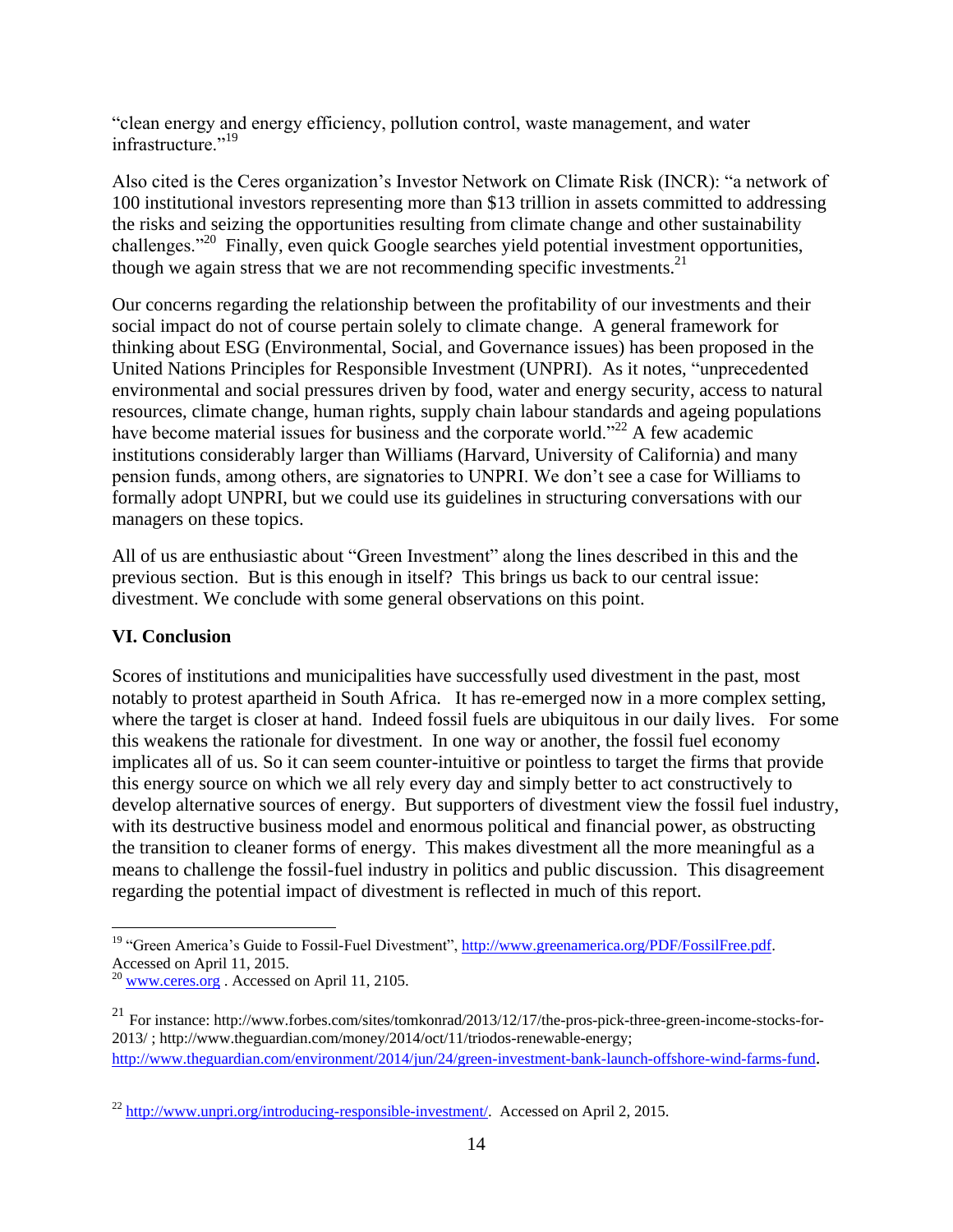"clean energy and energy efficiency, pollution control, waste management, and water infrastructure."<sup>19</sup>

Also cited is the Ceres organization's Investor Network on Climate Risk (INCR): "a network of 100 institutional investors representing more than \$13 trillion in assets committed to addressing the risks and seizing the opportunities resulting from climate change and other sustainability challenges."<sup>20</sup> Finally, even quick Google searches yield potential investment opportunities, though we again stress that we are not recommending specific investments.<sup>21</sup>

Our concerns regarding the relationship between the profitability of our investments and their social impact do not of course pertain solely to climate change. A general framework for thinking about ESG (Environmental, Social, and Governance issues) has been proposed in the United Nations Principles for Responsible Investment (UNPRI). As it notes, "unprecedented environmental and social pressures driven by food, water and energy security, access to natural resources, climate change, human rights, supply chain labour standards and ageing populations have become material issues for business and the corporate world."<sup>22</sup> A few academic institutions considerably larger than Williams (Harvard, University of California) and many pension funds, among others, are signatories to UNPRI. We don't see a case for Williams to formally adopt UNPRI, but we could use its guidelines in structuring conversations with our managers on these topics.

All of us are enthusiastic about "Green Investment" along the lines described in this and the previous section. But is this enough in itself? This brings us back to our central issue: divestment. We conclude with some general observations on this point.

#### **VI. Conclusion**

Scores of institutions and municipalities have successfully used divestment in the past, most notably to protest apartheid in South Africa. It has re-emerged now in a more complex setting, where the target is closer at hand. Indeed fossil fuels are ubiquitous in our daily lives. For some this weakens the rationale for divestment. In one way or another, the fossil fuel economy implicates all of us. So it can seem counter-intuitive or pointless to target the firms that provide this energy source on which we all rely every day and simply better to act constructively to develop alternative sources of energy. But supporters of divestment view the fossil fuel industry, with its destructive business model and enormous political and financial power, as obstructing the transition to cleaner forms of energy. This makes divestment all the more meaningful as a means to challenge the fossil-fuel industry in politics and public discussion. This disagreement regarding the potential impact of divestment is reflected in much of this report.

 $\overline{a}$ <sup>19</sup> "Green America's Guide to Fossil-Fuel Divestment", [http://www.greenamerica.org/PDF/FossilFree.pdf.](http://www.greenamerica.org/PDF/FossilFree.pdf) Accessed on April 11, 2015.

 $^{20}$  [www.ceres.org](http://www.ceres.org/) . Accessed on April 11, 2105.

<sup>21</sup> For instance[: http://www.forbes.com/sites/tomkonrad/2013/12/17/the-pros-pick-three-green-income-stocks-for-](http://www.forbes.com/sites/tomkonrad/2013/12/17/the-pros-pick-three-green-income-stocks-for-2013/)[2013/](http://www.forbes.com/sites/tomkonrad/2013/12/17/the-pros-pick-three-green-income-stocks-for-2013/) [; http://www.theguardian.com/money/2014/oct/11/triodos-renewable-energy;](http://www.theguardian.com/money/2014/oct/11/triodos-renewable-energy) <http://www.theguardian.com/environment/2014/jun/24/green-investment-bank-launch-offshore-wind-farms-fund>.

 $^{22}$  [http://www.unpri.org/introducing-responsible-investment/.](http://www.unpri.org/introducing-responsible-investment/) Accessed on April 2, 2015.